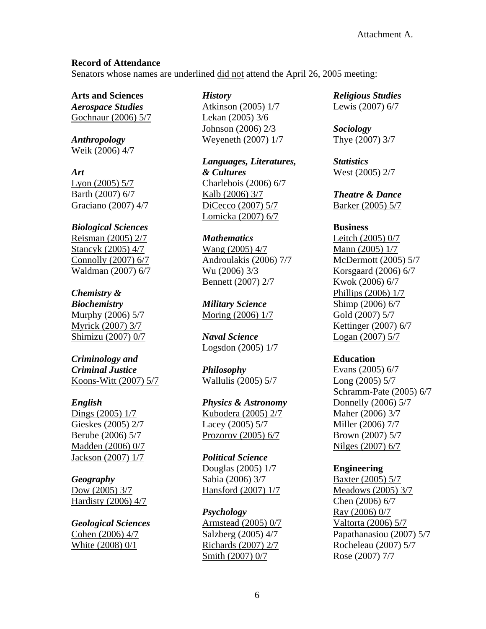### **Record of Attendance**

Senators whose names are underlined did not attend the April 26, 2005 meeting:

**Arts and Sciences**  *Aerospace Studies* Gochnaur (2006) 5/7

*Anthropology* Weik (2006) 4/7

*Art*  Lyon (2005) 5/7 Barth (2007) 6/7 Graciano (2007) 4/7

### *Biological Sciences*

Reisman (2005) 2/7 Stancyk (2005) 4/7 Connolly (2007) 6/7 Waldman (2007) 6/7

# *Chemistry &*

*Biochemistry*  Murphy (2006) 5/7 Myrick (2007) 3/7 Shimizu (2007) 0/7

#### *Criminology and Criminal Justice*  Koons-Witt (2007) 5/7

# *English*

Dings (2005) 1/7 Gieskes (2005) 2/7 Berube (2006) 5/7 Madden (2006) 0/7 Jackson (2007) 1/7

# *Geography*

Dow (2005) 3/7 Hardisty (2006) 4/7

*Geological Sciences*  Cohen (2006) 4/7 White (2008) 0/1

### *History*

Atkinson (2005) 1/7 Lekan (2005) 3/6 Johnson (2006) 2/3 Weyeneth (2007) 1/7

*Languages, Literatures, & Cultures* Charlebois (2006) 6/7 Kalb (2006) 3/7 DiCecco (2007) 5/7 Lomicka (2007) 6/7

### *Mathematics*

Wang (2005) 4/7 Androulakis (2006) 7/7 Wu (2006) 3/3 Bennett (2007) 2/7

*Military Science*  Moring (2006) 1/7

*Naval Science*  Logsdon (2005) 1/7

*Philosophy* Wallulis (2005) 5/7

# *Physics & Astronomy*

Kubodera (2005) 2/7 Lacey (2005) 5/7 Prozorov (2005) 6/7

### *Political Science*

Douglas (2005) 1/7 Sabia (2006) 3/7 Hansford (2007) 1/7

*Psychology* Armstead (2005) 0/7 Salzberg (2005) 4/7 Richards (2007) 2/7 Smith (2007) 0/7

*Religious Studies*  Lewis (2007) 6/7

*Sociology*  Thye (2007) 3/7

*Statistics* West (2005) 2/7

*Theatre & Dance*  Barker (2005) 5/7

#### **Business**

Leitch (2005) 0/7 Mann (2005) 1/7 McDermott (2005) 5/7 Korsgaard (2006) 6/7 Kwok (2006) 6/7 Phillips (2006) 1/7 Shimp (2006) 6/7 Gold (2007) 5/7 Kettinger (2007) 6/7 Logan (2007) 5/7

### **Education**

Evans (2005) 6/7 Long (2005) 5/7 Schramm-Pate (2005) 6/7 Donnelly (2006) 5/7 Maher (2006) 3/7 Miller (2006) 7/7 Brown (2007) 5/7 Nilges (2007) 6/7

# **Engineering**

Baxter (2005) 5/7 Meadows (2005) 3/7 Chen (2006) 6/7 Ray (2006) 0/7 Valtorta (2006) 5/7 Papathanasiou (2007) 5/7 Rocheleau (2007) 5/7 Rose (2007) 7/7